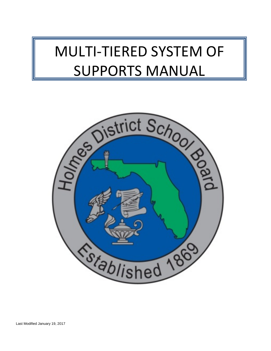# MULTI-TIERED SYSTEM OF SUPPORTS MANUAL

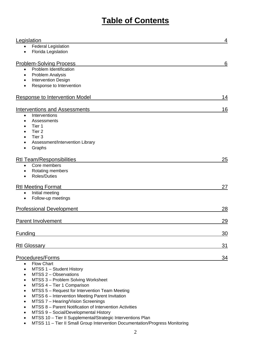# **Table of Contents**

| Legislation                                             | 4  |
|---------------------------------------------------------|----|
| <b>Federal Legislation</b><br>$\bullet$                 |    |
| Florida Legislation<br>$\bullet$                        |    |
| <b>Problem-Solving Process</b>                          | 6  |
| Problem Identification<br>$\bullet$                     |    |
| Problem Analysis<br>$\bullet$                           |    |
| <b>Intervention Design</b><br>$\bullet$                 |    |
| Response to Intervention<br>$\bullet$                   |    |
| Response to Intervention Model                          | 14 |
| <b>Interventions and Assessments</b>                    | 16 |
| Interventions<br>$\bullet$                              |    |
| Assessments<br>$\bullet$                                |    |
| Tier 1                                                  |    |
| Tier <sub>2</sub>                                       |    |
| Tier 3                                                  |    |
| Assessment/Intervention Library                         |    |
| Graphs                                                  |    |
| <b>Rtl Team/Responsibilities</b>                        | 25 |
| Core members<br>$\bullet$                               |    |
| Rotating members                                        |    |
| <b>Roles/Duties</b><br>$\bullet$                        |    |
|                                                         |    |
| <b>Rtl Meeting Format</b>                               | 27 |
| Initial meeting<br>$\bullet$<br>Follow-up meetings      |    |
| $\bullet$                                               |    |
| <b>Professional Development</b>                         | 28 |
|                                                         |    |
| <b>Parent Involvement</b>                               | 29 |
|                                                         |    |
| Funding                                                 | 30 |
|                                                         |    |
| <b>Rtl Glossary</b>                                     | 31 |
| Procedures/Forms                                        | 34 |
| Flow Chart<br>$\bullet$                                 |    |
| MTSS 1 - Student History<br>$\bullet$                   |    |
| MTSS 2 - Observations<br>$\bullet$                      |    |
| MTSS 3 - Problem Solving Worksheet                      |    |
| MTSS 4 - Tier 1 Comparison                              |    |
| MTSS 5 - Request for Intervention Team Meeting          |    |
| MTSS 6 - Intervention Meeting Parent Invitation<br>٠    |    |
| MTSS 7 - Hearing/Vision Screenings<br>$\bullet$         |    |
| MTSS 8 - Parent Notification of Intervention Activities |    |
| MTSS 9 - Social/Developmental History                   |    |

- MTSS 10 Tier II Supplemental/Strategic Interventions Plan
- MTSS 11 Tier II Small Group Intervention Documentation/Progress Monitoring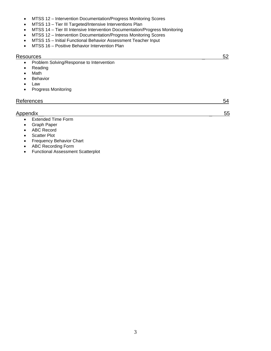- MTSS 12 Intervention Documentation/Progress Monitoring Scores
- MTSS 13 Tier III Targeted/Intensive Interventions Plan
- MTSS 14 Tier III Intensive Intervention Documentation/Progress Monitoring
- MTSS 12 Intervention Documentation/Progress Monitoring Scores
- MTSS 15 Initial Functional Behavior Assessment Teacher Input
- MTSS 16 Positive Behavior Intervention Plan

#### Resources 52

- Problem Solving/Response to Intervention
- Reading
- Math
- Behavior
- Law
- Progress Monitoring

| References         | 54 |
|--------------------|----|
|                    |    |
| Appendix           | 55 |
| Extended Time Form |    |

- Extended Time Form
- Graph Paper
- ABC Record
- **Scatter Plot**
- Frequency Behavior Chart
- ABC Recording Form
- Functional Assessment Scatterplot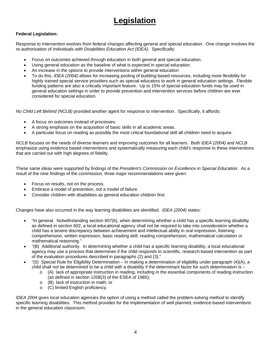# **Legislation**

#### **Federal Legislation:**

Response to Intervention evolves from federal changes affecting general and special education. One change involves the re-authorization of *Individuals with Disabilities Education Act (IDEA)*. Specifically:

- Focus on outcomes achieved through education in both general and special education.
- Using general education as the baseline of what is expected in special education.
- An increase in the options to provide interventions within general education
- To do this, *IDEA (2004)* allows for increasing pooling of building-based resources, including more flexibility for highly trained special service providers such as special educators to work in general education settings. Flexible funding patterns are also a critically important feature. Up to 15% of special education funds may be used in general education settings in order to provide prevention and intervention services before children are ever considered for special education.

*No Child Left Behind (NCLB)* provided another agent for response to intervention. Specifically, it affords:

- A focus on outcomes instead of processes.
- A strong emphasis on the acquisition of basic skills in all academic areas.
- A particular focus on reading as possibly the most critical foundational skill all children need to acquire.

*NCLB* focuses on the needs of diverse learners and improving outcomes for all learners. Both *IDEA (2004)* and *NCLB* emphasize using evidence based interventions and systematically measuring each child's response to these interventions that are carried out with high degrees of fidelity.

These same ideas were supported by findings of the *President's Commission on Excellence in Special Education*. As a result of the nine findings of the commission, three major recommendations were given:

- Focus on results, not on the process.
- Embrace a model of prevention, not a model of failure.
- Consider children with disabilities as general education children first.

Changes have also occurred in the way learning disabilities are identified. *IDEA (2004)* states:

- "In general. Notwithstanding section 607(b), when determining whether a child has a specific learning disability as defined in section 602, a local educational agency shall not be required to take into consideration whether a child has a severe discrepancy between achievement and intellectual ability in oral expression, listening comprehension, written expression, basic reading skill, reading comprehension, mathematical calculation or mathematical reasoning."
- "(B) Additional authority. In determining whether a child has a specific learning disability, a local educational agency may use a process that determines if the child responds to scientific, research-based intervention as part of the evaluation procedures described in paragraphs (2) and (3)."
- "(5) Special Rule for Eligibility Determination In making a determination of eligibility under paragraph (4)(A), a child shall not be determined to be a child with a disability if the determinant factor for such determination is –
	- o (A) lack of appropriate instruction in reading, including in the essential components of reading instruction (as defined in section 1208(3) of the ESEA of 1965);
	- o (B) lack of instruction in math; or
	- o (C) limited English proficiency.

*IDEA 2004* gives local education agencies the option of using a method called the problem-solving method to identify specific learning disabilities. This method provides for the implementation of well planned, evidence-based interventions in the general education classroom.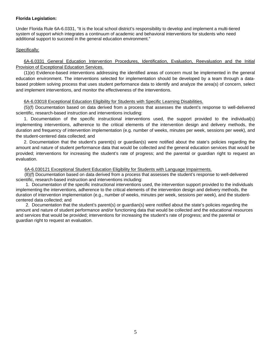#### **Florida Legislation:**

Under Florida Rule 6A-6.0331, "It is the local school district's responsibility to develop and implement a multi-tiered system of support which integrates a continuum of academic and behavioral interventions for students who need additional support to succeed in the general education environment."

#### Specifically:

6A-6.0331 General Education Intervention Procedures, Identification, Evaluation, Reevaluation and the Initial Provision of Exceptional Education Services.

(1)(e) Evidence-based interventions addressing the identified areas of concern must be implemented in the general education environment. The interventions selected for implementation should be developed by a team through a databased problem solving process that uses student performance data to identify and analyze the area(s) of concern, select and implement interventions, and monitor the effectiveness of the interventions.

#### 6A-6.03018 Exceptional Education Eligibility for Students with Specific Learning Disabilities.

(5)(f) Documentation based on data derived from a process that assesses the student's response to well-delivered scientific, research-based instruction and interventions including:

1. Documentation of the specific instructional interventions used, the support provided to the individual(s) implementing interventions, adherence to the critical elements of the intervention design and delivery methods, the duration and frequency of intervention implementation (e.g. number of weeks, minutes per week, sessions per week), and the student-centered data collected; and

2. Documentation that the student's parent(s) or guardian(s) were notified about the state's policies regarding the amount and nature of student performance data that would be collected and the general education services that would be provided; interventions for increasing the student's rate of progress; and the parental or guardian right to request an evaluation.

#### 6A-6.030121 Exceptional Student Education Eligibility for Students with Language Impairments.

(8)(f) Documentation based on data derived from a process that assesses the student's response to well-delivered scientific, research-based instruction and interventions including:

 1. Documentation of the specific instructional interventions used, the intervention support provided to the individuals implementing the interventions, adherence to the critical elements of the intervention design and delivery methods, the duration of intervention implementation (e.g., number of weeks, minutes per week, sessions per week), and the studentcentered data collected; and

 2. Documentation that the student's parent(s) or guardian(s) were notified about the state's policies regarding the amount and nature of student performance and/or functioning data that would be collected and the educational resources and services that would be provided; interventions for increasing the student's rate of progress; and the parental or guardian right to request an evaluation.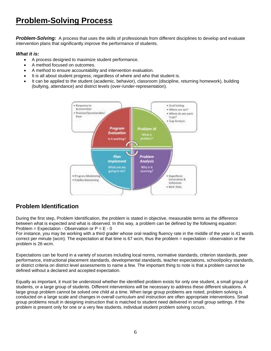# **Problem-Solving Process**

*Problem-Solving:* A process that uses the skills of professionals from different disciplines to develop and evaluate intervention plans that significantly improve the performance of students.

#### *What it is:*

- A process designed to maximize student performance.
- A method focused on outcomes.
- A method to ensure accountability and intervention evaluation.
- It is all about student progress, regardless of where and who that student is.
- It can be applied to the student (academic, behavior), classroom (discipline, returning homework), building (bullying, attendance) and district levels (over-/under-representation).



### **Problem Identification**

During the first step, Problem Identification, the problem is stated in objective, measurable terms as the difference between what is expected and what is observed. In this way, a problem can be defined by the following equation: Problem = Expectation - Observation or  $P = E - 0$ 

For instance, you may be working with a third grader whose oral reading fluency rate in the middle of the year is 41 words correct per minute (wcm). The expectation at that time is 67 wcm, thus the problem = expectation - observation or the problem is 26 wcm.

Expectations can be found in a variety of sources including local norms, normative standards, criterion standards, peer performance, instructional placement standards, developmental standards, teacher expectations, school/policy standards, or district criteria on district level assessments to name a few. The important thing to note is that a problem cannot be defined without a declared and accepted expectation.

Equally as important, it must be understood whether the identified problem exists for only one student, a small group of students, or a large group of students. Different interventions will be necessary to address these different situations. A large group problem cannot be solved one child at a time. When large group problems are noted, problem solving is conducted on a large scale and changes in overall curriculum and instruction are often appropriate interventions. Small group problems result in designing instruction that is matched to student need delivered in small group settings. If the problem is present only for one or a very few students, individual student problem solving occurs.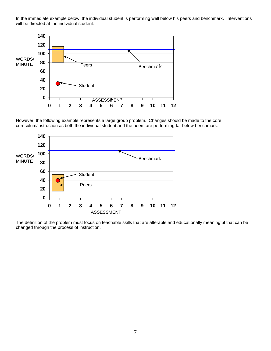In the immediate example below, the individual student is performing well below his peers and benchmark. Interventions will be directed at the individual student.



However, the following example represents a large group problem. Changes should be made to the core curriculum/instruction as both the individual student and the peers are performing far below benchmark.



The definition of the problem must focus on teachable skills that are alterable and educationally meaningful that can be changed through the process of instruction.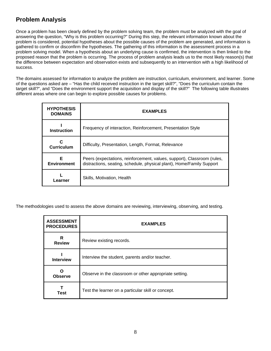### **Problem Analysis**

Once a problem has been clearly defined by the problem solving team, the problem must be analyzed with the goal of answering the question, "Why is this problem occurring?" During this step, the relevant information known about the problem is considered, potential hypotheses about the possible causes of the problem are generated, and information is gathered to confirm or disconfirm the hypotheses. The gathering of this information is the assessment process in a problem solving model. When a hypothesis about an underlying cause is confirmed, the intervention is then linked to the proposed reason that the problem is occurring. The process of problem analysis leads us to the most likely reason(s) that the difference between expectation and observation exists and subsequently to an intervention with a high likelihood of success.

The domains assessed for information to analyze the problem are instruction, curriculum, environment, and learner. Some of the questions asked are – "Has the child received instruction in the target skill?", "Does the curriculum contain the target skill?", and "Does the environment support the acquisition and display of the skill?" The following table illustrates different areas where one can begin to explore possible causes for problems.

| <b>HYPOTHESIS</b><br><b>DOMAINS</b> | <b>EXAMPLES</b>                                                                                                                                  |
|-------------------------------------|--------------------------------------------------------------------------------------------------------------------------------------------------|
| <b>Instruction</b>                  | Frequency of interaction, Reinforcement, Presentation Style                                                                                      |
| Curriculum                          | Difficulty, Presentation, Length, Format, Relevance                                                                                              |
| Е<br><b>Environment</b>             | Peers (expectations, reinforcement, values, support), Classroom (rules,<br>distractions, seating, schedule, physical plant), Home/Family Support |
| Learner                             | Skills, Motivation, Health                                                                                                                       |

The methodologies used to assess the above domains are reviewing, interviewing, observing, and testing.

| <b>ASSESSMENT</b><br><b>PROCEDURES</b> | <b>EXAMPLES</b>                                        |
|----------------------------------------|--------------------------------------------------------|
| R<br><b>Review</b>                     | Review existing records.                               |
| <b>Interview</b>                       | Interview the student, parents and/or teacher.         |
| <b>Observe</b>                         | Observe in the classroom or other appropriate setting. |
| <b>Test</b>                            | Test the learner on a particular skill or concept.     |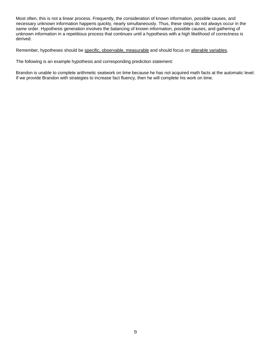Most often, this is not a linear process. Frequently, the consideration of known information, possible causes, and necessary unknown information happens quickly, nearly simultaneously. Thus, these steps do not always occur in the same order. Hypothesis generation involves the balancing of known information, possible causes, and gathering of unknown information in a repetitious process that continues until a hypothesis with a high likelihood of correctness is derived.

Remember, hypotheses should be specific, observable, measurable and should focus on alterable variables.

The following is an example hypothesis and corresponding prediction statement:

Brandon is unable to complete arithmetic seatwork on time because he has not acquired math facts at the automatic level. If we provide Brandon with strategies to increase fact fluency, then he will complete his work on time.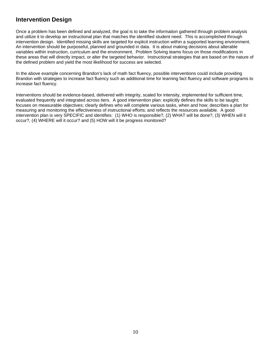### **Intervention Design**

Once a problem has been defined and analyzed, the goal is to take the information gathered through problem analysis and utilize it to develop an instructional plan that matches the identified student need. This is accomplished through intervention design. Identified missing skills are targeted for explicit instruction within a supported learning environment. An intervention should be purposeful, planned and grounded in data. It is about making decisions about alterable variables within instruction, curriculum and the environment. Problem Solving teams focus on those modifications in these areas that will directly impact, or alter the targeted behavior. Instructional strategies that are based on the nature of the defined problem and yield the most likelihood for success are selected.

In the above example concerning Brandon's lack of math fact fluency, possible interventions could include providing Brandon with strategies to increase fact fluency such as additional time for learning fact fluency and software programs to increase fact fluency.

Interventions should be evidence-based, delivered with integrity, scaled for intensity, implemented for sufficient time, evaluated frequently and integrated across tiers. A good intervention plan: explicitly defines the skills to be taught; focuses on measurable objectives; clearly defines who will complete various tasks, when and how; describes a plan for measuring and monitoring the effectiveness of instructional efforts; and reflects the resources available. A good intervention plan is very SPECIFIC and identifies: (1) WHO is responsible?, (2) WHAT will be done?, (3) WHEN will it occur?, (4) WHERE will it occur? and (5) HOW will it be progress monitored?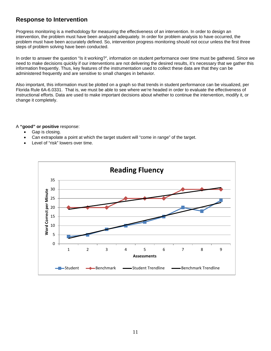### **Response to Intervention**

Progress monitoring is a methodology for measuring the effectiveness of an intervention. In order to design an intervention, the problem must have been analyzed adequately. In order for problem analysis to have occurred, the problem must have been accurately defined. So, intervention progress monitoring should not occur unless the first three steps of problem solving have been conducted.

In order to answer the question "Is it working?", information on student performance over time must be gathered. Since we need to make decisions quickly if our interventions are not delivering the desired results, it's necessary that we gather this information frequently. Thus, key features of the instrumentation used to collect these data are that they can be administered frequently and are sensitive to small changes in behavior.

Also important, this information must be plotted on a graph so that trends in student performance can be visualized, per Florida Rule 6A-6.0331. That is, we must be able to see where we're headed in order to evaluate the effectiveness of instructional efforts. Data are used to make important decisions about whether to continue the intervention, modify it, or change it completely.

A **"good" or positive** response:

- Gap is closing.
- Can extrapolate a point at which the target student will "come in range" of the target.
- Level of "risk" lowers over time.

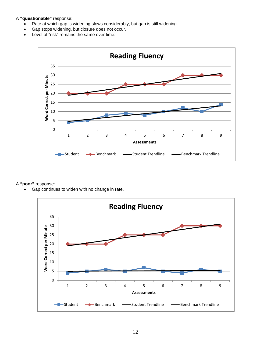A **"questionable"** response:

- Rate at which gap is widening slows considerably, but gap is still widening.
- Gap stops widening, but closure does not occur.
- Level of "risk" remains the same over time.



#### A **"poor"** response:

Gap continues to widen with no change in rate.

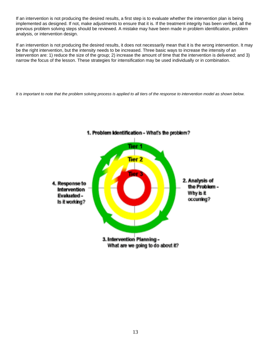If an intervention is not producing the desired results, a first step is to evaluate whether the intervention plan is being implemented as designed. If not, make adjustments to ensure that it is. If the treatment integrity has been verified, all the previous problem solving steps should be reviewed. A mistake may have been made in problem identification, problem analysis, or intervention design.

If an intervention is not producing the desired results, it does not necessarily mean that it is the wrong intervention. It may be the right intervention, but the intensity needs to be increased. Three basic ways to increase the intensity of an intervention are: 1) reduce the size of the group; 2) increase the amount of time that the intervention is delivered; and 3) narrow the focus of the lesson. These strategies for intensification may be used individually or in combination.

*It is important to note that the problem solving process is applied to all tiers of the response to intervention model as shown below.* 



#### 1. Problem Identification - What's the problem?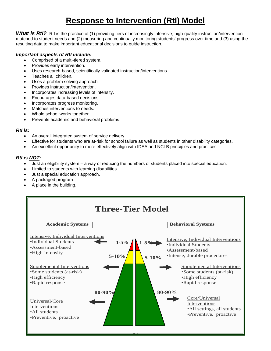# **Response to Intervention (RtI) Model**

What is RtI? Rtl is the practice of (1) providing tiers of increasingly intensive, high-quality instruction/intervention matched to student needs and (2) measuring and continually monitoring students' progress over time and (3) using the resulting data to make important educational decisions to guide instruction.

#### *Important aspects of RtI include:*

- Comprised of a multi-tiered system.
- Provides early intervention.
- Uses research-based, scientifically-validated instruction/interventions.
- Teaches all children.
- Uses a problem solving approach.
- Provides instruction/intervention.
- Incorporates increasing levels of intensity.
- Encourages data-based decisions.
- Incorporates progress monitoring.
- Matches interventions to needs.
- Whole school works together.
- Prevents academic and behavioral problems.

#### *RtI is:*

- An overall integrated system of service delivery.
- Effective for students who are at-risk for school failure as well as students in other disability categories.
- An excellent opportunity to more effectively align with IDEA and NCLB principles and practices.

#### *RtI is NOT:*

- Just an eligibility system a way of reducing the numbers of students placed into special education.
- Limited to students with learning disabilities.
- Just a special education approach.
- A packaged program.
- A place in the building.

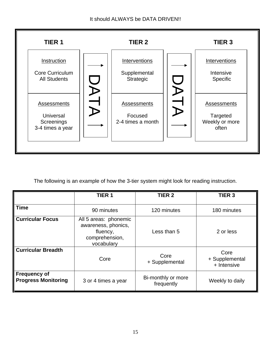

The following is an example of how the 3-tier system might look for reading instruction.

|                                                   | TIER <sub>1</sub>                                                                        | <b>TIER 2</b>                    | TIER <sub>3</sub>                     |
|---------------------------------------------------|------------------------------------------------------------------------------------------|----------------------------------|---------------------------------------|
| <b>Time</b>                                       | 90 minutes                                                                               | 120 minutes                      | 180 minutes                           |
| <b>Curricular Focus</b>                           | All 5 areas: phonemic<br>awareness, phonics,<br>fluency,<br>comprehension,<br>vocabulary | Less than 5                      | 2 or less                             |
| <b>Curricular Breadth</b>                         | Core                                                                                     | Core<br>+ Supplemental           | Core<br>+ Supplemental<br>+ Intensive |
| <b>Frequency of</b><br><b>Progress Monitoring</b> | 3 or 4 times a year                                                                      | Bi-monthly or more<br>frequently | Weekly to daily                       |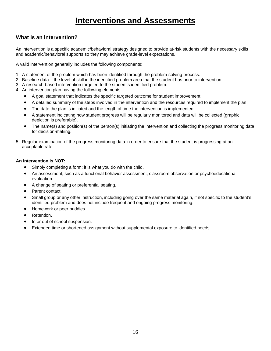# **Interventions and Assessments**

### **What is an intervention?**

An intervention is a specific academic/behavioral strategy designed to provide at-risk students with the necessary skills and academic/behavioral supports so they may achieve grade-level expectations.

A valid intervention generally includes the following components:

- 1. A statement of the problem which has been identified through the problem-solving process.
- 2. Baseline data the level of skill in the identified problem area that the student has prior to intervention.
- 3. A research-based intervention targeted to the student's identified problem.
- 4. An intervention plan having the following elements:
	- A goal statement that indicates the specific targeted outcome for student improvement.
	- A detailed summary of the steps involved in the intervention and the resources required to implement the plan.
	- The date the plan is initiated and the length of time the intervention is implemented.
	- A statement indicating how student progress will be regularly monitored and data will be collected (graphic depiction is preferable).
	- The name(s) and position(s) of the person(s) initiating the intervention and collecting the progress monitoring data for decision-making.
- 5. Regular examination of the progress monitoring data in order to ensure that the student is progressing at an acceptable rate.

#### **An intervention is NOT:**

- Simply completing a form; it is what you do with the child.
- An assessment, such as a functional behavior assessment, classroom observation or psychoeducational evaluation.
- A change of seating or preferential seating.
- Parent contact.
- Small group or any other instruction, including going over the same material again, if not specific to the student's identified problem and does not include frequent and ongoing progress monitoring.
- Homework or peer buddies.
- Retention.
- In or out of school suspension.
- Extended time or shortened assignment without supplemental exposure to identified needs.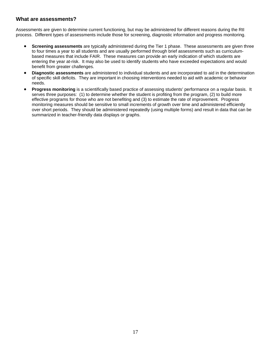#### **What are assessments?**

Assessments are given to determine current functioning, but may be administered for different reasons during the RtI process. Different types of assessments include those for screening, diagnostic information and progress monitoring.

- **Screening assessments** are typically administered during the Tier 1 phase. These assessments are given three to four times a year to all students and are usually performed through brief assessments such as curriculumbased measures that include FAIR. These measures can provide an early indication of which students are entering the year at-risk. It may also be used to identify students who have exceeded expectations and would benefit from greater challenges.
- **Diagnostic assessments** are administered to individual students and are incorporated to aid in the determination of specific skill deficits. They are important in choosing interventions needed to aid with academic or behavior needs.
- **Progress monitoring** is a scientifically based practice of assessing students' performance on a regular basis. It serves three purposes: (1) to determine whether the student is profiting from the program, (2) to build more effective programs for those who are not benefiting and (3) to estimate the rate of improvement. Progress monitoring measures should be sensitive to small increments of growth over time and administered efficiently over short periods. They should be administered repeatedly (using multiple forms) and result in data that can be summarized in teacher-friendly data displays or graphs.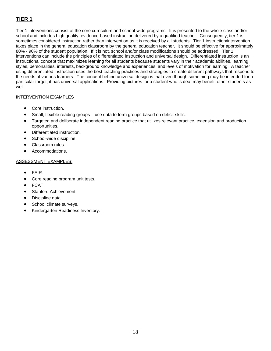### **TIER 1**

Tier 1 interventions consist of the core curriculum and school-wide programs. It is presented to the whole class and/or school and includes high quality, evidence-based instruction delivered by a qualified teacher. Consequently, tier 1 is sometimes considered instruction rather than intervention as it is received by all students. Tier 1 instruction/intervention takes place in the general education classroom by the general education teacher. It should be effective for approximately 80% - 90% of the student population. If it is not, school and/or class modifications should be addressed. Tier 1 interventions can include the principles of differentiated instruction and universal design. Differentiated instruction is an instructional concept that maximizes learning for all students because students vary in their academic abilities, learning styles, personalities, interests, background knowledge and experiences, and levels of motivation for learning. A teacher using differentiated instruction uses the best teaching practices and strategies to create different pathways that respond to the needs of various learners. The concept behind universal design is that even though something may be intended for a particular target, it has universal applications. Providing pictures for a student who is deaf may benefit other students as well.

#### INTERVENTION EXAMPLES

- Core instruction.
- Small, flexible reading groups use data to form groups based on deficit skills.
- Targeted and deliberate independent reading practice that utilizes relevant practice, extension and production opportunities.
- Differentiated instruction.
- School-wide discipline.
- Classroom rules.
- Accommodations.

#### ASSESSMENT EXAMPLES:

- FAIR.
- Core reading program unit tests.
- FCAT.
- Stanford Achievement.
- Discipline data.
- School climate surveys.
- Kindergarten Readiness Inventory.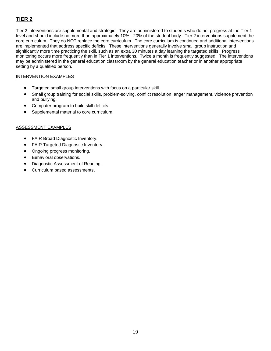### **TIER 2**

Tier 2 interventions are supplemental and strategic. They are administered to students who do not progress at the Tier 1 level and should include no more than approximately 10% - 20% of the student body. Tier 2 interventions supplement the core curriculum. They do NOT replace the core curriculum. The core curriculum is continued and additional interventions are implemented that address specific deficits. These interventions generally involve small group instruction and significantly more time practicing the skill, such as an extra 30 minutes a day learning the targeted skills. Progress monitoring occurs more frequently than in Tier 1 interventions. Twice a month is frequently suggested. The interventions may be administered in the general education classroom by the general education teacher or in another appropriate setting by a qualified person.

#### INTERVENTION EXAMPLES

- Targeted small group interventions with focus on a particular skill.
- Small group training for social skills, problem-solving, conflict resolution, anger management, violence prevention and bullying.
- Computer program to build skill deficits.
- Supplemental material to core curriculum.

#### ASSESSMENT EXAMPLES

- FAIR Broad Diagnostic Inventory.
- FAIR Targeted Diagnostic Inventory.
- Ongoing progress monitoring.
- Behavioral observations.
- Diagnostic Assessment of Reading.
- Curriculum based assessments.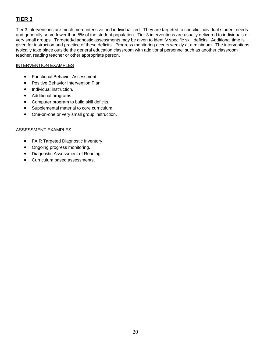### **TIER 3**

Tier 3 interventions are much more intensive and individualized. They are targeted to specific individual student needs and generally serve fewer than 5% of the student population. Tier 3 interventions are usually delivered to individuals or very small groups. Targeted/diagnostic assessments may be given to identify specific skill deficits. Additional time is given for instruction and practice of these deficits. Progress monitoring occurs weekly at a minimum. The interventions typically take place outside the general education classroom with additional personnel such as another classroom teacher, reading teacher or other appropriate person.

#### INTERVENTION EXAMPLES

- Functional Behavior Assessment
- Positive Behavior Intervention Plan
- Individual instruction.
- Additional programs.
- Computer program to build skill deficits.
- Supplemental material to core curriculum.
- One-on-one or very small group instruction.

#### ASSESSMENT EXAMPLES

- FAIR Targeted Diagnostic Inventory.
- Ongoing progress monitoring.
- Diagnostic Assessment of Reading.
- Curriculum based assessments.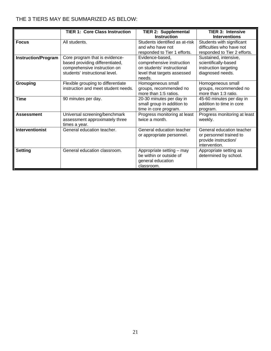### THE 3 TIERS MAY BE SUMMARIZED AS BELOW:

|                            | <b>TIER 1: Core Class Instruction</b>                                                                                               | <b>TIER 2: Supplemental</b>                                                                                         | <b>TIER 3: Intensive</b>                                                                      |
|----------------------------|-------------------------------------------------------------------------------------------------------------------------------------|---------------------------------------------------------------------------------------------------------------------|-----------------------------------------------------------------------------------------------|
|                            |                                                                                                                                     | <b>Instruction</b>                                                                                                  | <b>Interventions</b>                                                                          |
| <b>Focus</b>               | All students.                                                                                                                       | Students identified as at-risk<br>and who have not<br>responded to Tier 1 efforts.                                  | Students with significant<br>difficulties who have not<br>responded to Tier 2 efforts.        |
| <b>Instruction/Program</b> | Core program that is evidence-<br>based providing differentiated,<br>comprehensive instruction on<br>students' instructional level. | Evidence-based,<br>comprehensive instruction<br>on students' instructional<br>level that targets assessed<br>needs. | Sustained, intensive,<br>scientifically-based<br>instruction targeting<br>diagnosed needs.    |
| <b>Grouping</b>            | Flexible grouping to differentiate<br>instruction and meet student needs.                                                           | Homogeneous small<br>groups, recommended no<br>more than 1:5 ratios.                                                | Homogeneous small<br>groups, recommended no<br>more than 1:3 ratio.                           |
| <b>Time</b>                | 90 minutes per day.                                                                                                                 | 20-30 minutes per day in<br>small group in addition to<br>time in core program.                                     | 45-60 minutes per day in<br>addition to time in core<br>program.                              |
| <b>Assessment</b>          | Universal screening/benchmark<br>assessment approximately three<br>times a year.                                                    | Progress monitoring at least<br>twice a month.                                                                      | Progress monitoring at least<br>weekly.                                                       |
| <b>Interventionist</b>     | General education teacher.                                                                                                          | General education teacher<br>or appropriate personnel.                                                              | General education teacher<br>or personnel trained to<br>provide instruction/<br>intervention. |
| <b>Setting</b>             | General education classroom.                                                                                                        | Appropriate setting - may<br>be within or outside of<br>general education<br>classroom.                             | Appropriate setting as<br>determined by school.                                               |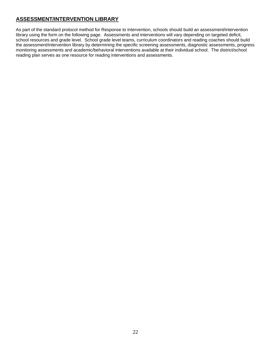### **ASSESSMENT/INTERVENTION LIBRARY**

As part of the standard protocol method for Response to Intervention, schools should build an assessment/intervention library using the form on the following page. Assessments and interventions will vary depending on targeted deficit, school resources and grade level. School grade level teams, curriculum coordinators and reading coaches should build the assessment/intervention library by determining the specific screening assessments, diagnostic assessments, progress monitoring assessments and academic/behavioral interventions available at their individual school. The district/school reading plan serves as one resource for reading interventions and assessments.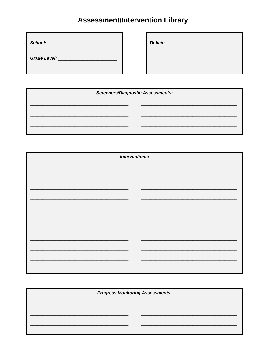# **Assessment/Intervention Library**

| School:<br><u> 1989 - Jan Stein Stein Stein Stein Stein Stein Stein Stein Stein Stein Stein Stein Stein Stein Stein Stein Stein Stein Stein Stein Stein Stein Stein Stein Stein Stein Stein Stein Stein Stein Stein Stein Stein Stein Stein</u> | Deficit:<br><u> Albert State Communication and the Communication of the Communication of the Communication of the Communication of the Communication of the Communication of the Communication of the Communication of the Communication of </u> |
|-------------------------------------------------------------------------------------------------------------------------------------------------------------------------------------------------------------------------------------------------|--------------------------------------------------------------------------------------------------------------------------------------------------------------------------------------------------------------------------------------------------|
| <b>Grade Level:</b>                                                                                                                                                                                                                             |                                                                                                                                                                                                                                                  |
|                                                                                                                                                                                                                                                 |                                                                                                                                                                                                                                                  |

| <b>Screeners/Diagnostic Assessments:</b> |  |
|------------------------------------------|--|
|                                          |  |
|                                          |  |
|                                          |  |
|                                          |  |
|                                          |  |

| Interventions: |  |
|----------------|--|
|                |  |
|                |  |
|                |  |
|                |  |
|                |  |
|                |  |
|                |  |
|                |  |
|                |  |
|                |  |
|                |  |
|                |  |
|                |  |

| <b>Progress Monitoring Assessments:</b> |
|-----------------------------------------|
|                                         |
|                                         |
|                                         |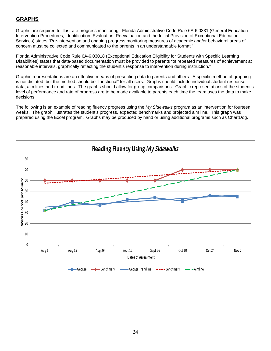### **GRAPHS**

Graphs are required to illustrate progress monitoring. Florida Administrative Code Rule 6A-6.0331 (General Education Intervention Procedures, Identification, Evaluation, Reevaluation and the Initial Provision of Exceptional Education Services) states "Pre-intervention and ongoing progress monitoring measures of academic and/or behavioral areas of concern must be collected and communicated to the parents in an understandable format."

Florida Administrative Code Rule 6A-6.03018 (Exceptional Education Eligibility for Students with Specific Learning Disabilities) states that data-based documentation must be provided to parents "of repeated measures of achievement at reasonable intervals, graphically reflecting the student's response to intervention during instruction."

Graphic representations are an effective means of presenting data to parents and others. A specific method of graphing is not dictated, but the method should be "functional" for all users. Graphs should include individual student response data, aim lines and trend lines. The graphs should allow for group comparisons. Graphic representations of the student's level of performance and rate of progress are to be made available to parents each time the team uses the data to make decisions.

The following is an example of reading fluency progress using the *My Sidewalks* program as an intervention for fourteen weeks. The graph illustrates the student's progress, expected benchmarks and projected aim line. This graph was prepared using the Excel program. Graphs may be produced by hand or using additional programs such as ChartDog.

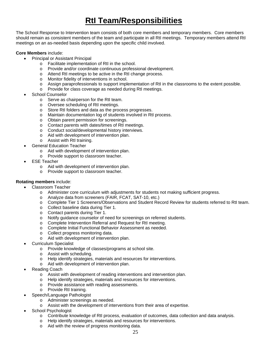# **RtI Team/Responsibilities**

The School Response to Intervention team consists of both core members and temporary members. Core members should remain as consistent members of the team and participate in all RtI meetings. Temporary members attend RtI meetings on an as-needed basis depending upon the specific child involved.

#### **Core Members** include:

- Principal or Assistant Principal
	- o Facilitate implementation of RtI in the school.
	- o Provide and/or coordinate continuous professional development.
	- o Attend RtI meetings to be active in the RtI change process.
	- o Monitor fidelity of interventions in school.
	- o Assign paraprofessionals to support implementation of RtI in the classrooms to the extent possible.
	- o Provide for class coverage as needed during RtI meetings.
- School Counselor
	- o Serve as chairperson for the RtI team.
	- o Oversee scheduling of RtI meetings.
	- o Store RtI folders and data as the process progresses.
	- o Maintain documentation log of students involved in RtI process.
	- o Obtain parent permission for screenings.
	- o Contact parents with dates/times of RtI meetings.
	- o Conduct social/developmental history interviews.
	- o Aid with development of intervention plan.
	- o Assist with RtI training.
- General Education Teacher
	- o Aid with development of intervention plan.
	- o Provide support to classroom teacher.
- **ESE Teacher** 
	- o Aid with development of intervention plan.
	- o Provide support to classroom teacher.

#### **Rotating members** include:

- Classroom Teacher
	- o Administer core curriculum with adjustments for students not making sufficient progress.
	- o Analyze data from screeners (FAIR, FCAT, SAT-10, etc.)
	- o Complete Tier 1 Screeners/Observations and Student Record Review for students referred to RtI team.
	- o Collect baseline data during Tier 1.
	- o Contact parents during Tier 1.
	- o Notify guidance counselor of need for screenings on referred students.
	- o Complete Intervention Referral and Request for RtI meeting.
	- o Complete Initial Functional Behavior Assessment as needed.
	- o Collect progress monitoring data.
	- o Aid with development of intervention plan.
- Curriculum Specialist
	- o Provide knowledge of classes/programs at school site.
	- o Assist with scheduling.
	- o Help identify strategies, materials and resources for interventions.
	- o Aid with development of intervention plan.
- Reading Coach
	- o Assist with development of reading interventions and intervention plan.
	- o Help identify strategies, materials and resources for interventions.
	- o Provide assistance with reading assessments.
	- o Provide RtI training.
- Speech/Language Pathologist
	- o Administer screenings as needed.
	- o Assist with the development of interventions from their area of expertise.
- School Psychologist
	- o Contribute knowledge of RtI process, evaluation of outcomes, data collection and data analysis.
	- o Help identify strategies, materials and resources for interventions.
	- o Aid with the review of progress monitoring data.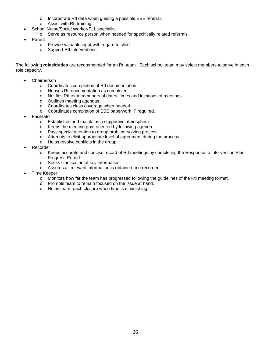- o Incorporate RtI data when guiding a possible ESE referral.
- o Assist with RtI training.
- School Nurse/Social Worker/ELL specialist
	- o Serve as resource person when needed for specifically related referrals.
- **Parent** 
	- o Provide valuable input with regard to child.
	- o Support RtI interventions.

The following **roles/duties** are recommended for an RtI team. Each school team may select members to serve in each role capacity.

- **Chairperson** 
	- o Coordinates completion of RtI documentation.
	- o Houses RtI documentation as completed.
	- o Notifies RtI team members of dates, times and locations of meetings.
	- o Outlines meeting agendas.
	- o Coordinates class coverage when needed.
	- o Coordinates completion of ESE paperwork IF required.
- **Facilitator** 
	- o Establishes and maintains a supportive atmosphere.
	- o Keeps the meeting goal-oriented by following agenda.
	- o Pays special attention to group problem-solving process.
	- o Attempts to elicit appropriate level of agreement during the process.
	- o Helps resolve conflicts in the group.
- **Recorder** 
	- o Keeps accurate and concise record of RtI meetings by completing the Response to Intervention Plan Progress Report.
	- o Seeks clarification of key information.
	- o Assures all relevant information is obtained and recorded.
- Time Keeper
	- o Monitors how far the team has progressed following the guidelines of the RtI meeting format.
	- o Prompts team to remain focused on the issue at hand.
	- o Helps team reach closure when time is diminishing.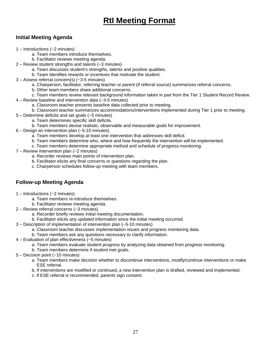# **RtI Meeting Format**

### **Initial Meeting Agenda**

- 1 Introductions (~2 minutes)
	- a. Team members introduce themselves.
	- b. Facilitator reviews meeting agenda.
- 2 Review student strengths and talents (~3 minutes)
	- a. Team discusses student's strengths, talents and positive qualities.
	- b. Team identifies rewards or incentives that motivate the student.
- 3 Assess referral concern(s) (~3-5 minutes)
	- a. Chairperson, facilitator, referring teacher or parent (if referral source) summarizes referral concerns.
	- b. Other team members share additional concerns.
- c. Team members review relevant background information taken in part from the Tier 1 Student Record Review.
- 4 Review baseline and intervention data (~3-5 minutes)
	- a. Classroom teacher presents baseline data collected prior to meeting.
	- b. Classroom teacher summarizes accommodations/interventions implemented during Tier 1 prior to meeting.
- 5 Determine deficits and set goals (~5 minutes)
	- a. Team determines specific skill deficits.
	- b. Team members devise realistic, observable and measurable goals for improvement.
- 6 Design an intervention plan (~5-10 minutes)
	- a. Team members develop at least one intervention that addresses skill deficit.
	- b. Team members determine who, where and how frequently the intervention will be implemented.
	- c. Team members determine appropriate method and schedule of progress monitoring.
- 7 Review intervention plan (~2 minutes)
	- a. Recorder reviews main points of intervention plan.
	- b. Facilitator elicits any final concerns or questions regarding the plan.
	- c. Chairperson schedules follow-up meeting with team members.

### **Follow-up Meeting Agenda**

- 1 Introductions (~2 minutes)
	- a. Team members re-introduce themselves.
	- b. Facilitator reviews meeting agenda.
- 2 Review referral concerns (~3 minutes)
	- a. Recorder briefly reviews initial meeting documentation.
	- b. Facilitator elicits any updated information since the initial meeting occurred.
- 3 Description of implementation of intervention plan (~5-10 minutes)
	- a. Classroom teacher discusses implementation issues and progress monitoring data.
	- b. Team members ask any questions necessary to clarify information.
- 4 Evaluation of plan effectiveness (~5 minutes)
	- a. Team members evaluate student progress by analyzing data obtained from progress monitoring.
	- b. Team members determine if student met goals.
- 5 Decision point (~10 minutes)
	- a. Team members make decision whether to discontinue interventions, modify/continue interventions or make ESE referral.
	- b. If interventions are modified or continued, a new intervention plan is drafted, reviewed and implemented.
	- c. If ESE referral is recommended, parents sign consent.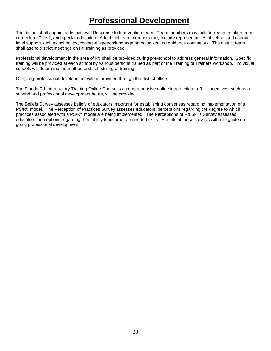# **Professional Development**

The district shall appoint a district level Response to Intervention team. Team members may include representation from curriculum, Title 1, and special education. Additional team members may include representatives of school and county level support such as school psychologist, speech/language pathologists and guidance counselors. The district team shall attend district meetings on RtI training as provided.

Professional development in the area of RtI shall be provided during pre-school to address general information. Specific training will be provided at each school by various persons trained as part of the Training of Trainers workshop. Individual schools will determine the method and scheduling of training.

On-going professional development will be provided through the district office.

The Florida RtI Introductory Training Online Course is a comprehensive online introduction to RtI. Incentives, such as a stipend and professional development hours, will be provided.

The Beliefs Survey assesses beliefs of educators important for establishing consensus regarding implementation of a PS/RtI model. The Perception of Practices Survey assesses educators' perceptions regarding the degree to which practices associated with a PS/RtI model are being implemented. The Perceptions of RtI Skills Survey assesses educators' perceptions regarding their ability to incorporate needed skills. Results of these surveys will help guide ongoing professional development.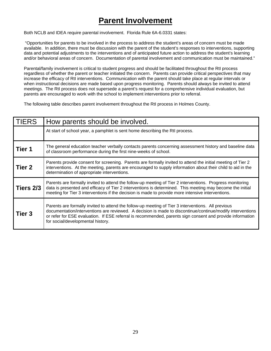# **Parent Involvement**

Both NCLB and IDEA require parental involvement. Florida Rule 6A-6.0331 states:

"Opportunities for parents to be involved in the process to address the student's areas of concern must be made available. In addition, there must be discussion with the parent of the student's responses to interventions, supporting data and potential adjustments to the interventions and of anticipated future action to address the student's learning and/or behavioral areas of concern. Documentation of parental involvement and communication must be maintained."

Parental/family involvement is critical to student progress and should be facilitated throughout the RtI process regardless of whether the parent or teacher initiated the concern. Parents can provide critical perspectives that may increase the efficacy of RtI interventions. Communication with the parent should take place at regular intervals or when instructional decisions are made based upon progress monitoring. Parents should always be invited to attend meetings. The RtI process does not supersede a parent's request for a comprehensive individual evaluation, but parents are encouraged to work with the school to implement interventions prior to referral.

The following table describes parent involvement throughout the RtI process in Holmes County.

| <b>TIERS</b>  | How parents should be involved.                                                                                                                                                                                                                                                                                                                                   |
|---------------|-------------------------------------------------------------------------------------------------------------------------------------------------------------------------------------------------------------------------------------------------------------------------------------------------------------------------------------------------------------------|
|               | At start of school year, a pamphlet is sent home describing the RtI process.                                                                                                                                                                                                                                                                                      |
| Tier 1        | The general education teacher verbally contacts parents concerning assessment history and baseline data<br>of classroom performance during the first nine-weeks of school.                                                                                                                                                                                        |
| <b>Tier 2</b> | Parents provide consent for screening. Parents are formally invited to attend the initial meeting of Tier 2<br>interventions. At the meeting, parents are encouraged to supply information about their child to aid in the<br>determination of appropriate interventions.                                                                                         |
| Tiers 2/3     | Parents are formally invited to attend the follow-up meeting of Tier 2 interventions. Progress monitoring<br>data is presented and efficacy of Tier 2 interventions is determined. This meeting may become the initial<br>meeting for Tier 3 interventions if the decision is made to provide more intensive interventions.                                       |
| <b>Tier 3</b> | Parents are formally invited to attend the follow-up meeting of Tier 3 interventions. All previous<br>documentation/interventions are reviewed. A decision is made to discontinue/continue/modify interventions<br>or refer for ESE evaluation. If ESE referral is recommended, parents sign consent and provide information<br>for social/developmental history. |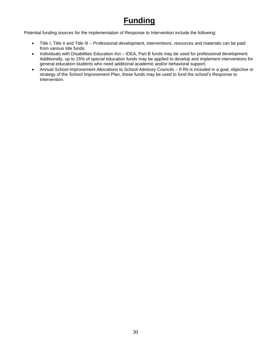# **Funding**

Potential funding sources for the implementation of Response to Intervention include the following:

- Title I, Title II and Title III Professional development, interventions, resources and materials can be paid from various title funds.
- Individuals with Disabilities Education Act IDEA, Part B funds may be used for professional development. Additionally, up to 15% of special education funds may be applied to develop and implement interventions for general education students who need additional academic and/or behavioral support.
- Annual School Improvement Allocations to School Advisory Councils If Rtl is included in a goal, objective or strategy of the School Improvement Plan, these funds may be used to fund the school's Response to Intervention.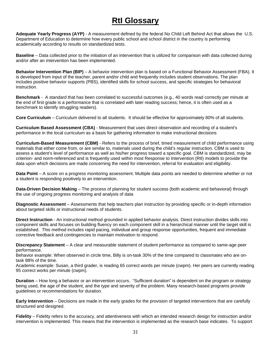### **RtI Glossary**

**Adequate Yearly Progress (AYP)** - A measurement defined by the federal No Child Left Behind Act that allows the U.S. Department of Education to determine how every public school and school district in the country is performing academically according to results on standardized tests.

**Baseline** – Data collected prior to the initiation of an intervention that is utilized for comparison with data collected during and/or after an intervention has been implemented.

**Behavior Intervention Plan (BIP)** – A behavior intervention plan is based on a Functional Behavior Assessment (FBA). It is developed from input of the teacher, parent and/or child and frequently includes student observations. The plan includes positive behavior supports (PBS), identified skills for school success, and specific strategies for behavioral instruction.

**Benchmark** - A standard that has been correlated to successful outcomes (e.g., 40 words read correctly per minute at the end of first grade is a performance that is correlated with later reading success; hence, it is often used as a benchmark to identify struggling readers).

**Core Curriculum** – Curriculum delivered to all students. It should be effective for approximately 80% of all students.

**Curriculum Based Assessment (CBA)** - Measurement that uses direct observation and recording of a student's performance in the local curriculum as a basis for gathering information to make instructional decisions

**Curriculum-Based Measurement (CBM)** - Refers to the process of brief, timed measurement of child performance using materials that either come from, or are similar to, materials used during the child's regular instruction. CBM is used to assess a student's level of performance as well as his/her progress toward a specific goal. CBM is standardized, may be criterion- and norm-referenced and is frequently used within most Response to Intervention (RtI) models to provide the data upon which decisions are made concerning the need for intervention, referral for evaluation and eligibility.

**Data Point** – A score on a progress monitoring assessment. Multiple data points are needed to determine whether or not a student is responding positively to an intervention.

**Data-Driven Decision Making** – The process of planning for student success (both academic and behavioral) through the use of ongoing progress monitoring and analysis of data

**Diagnostic Assessment** – Assessments that help teachers plan instruction by providing specific or in-depth information about targeted skills or instructional needs of students.

**Direct Instruction** - An instructional method grounded in applied behavior analysis. Direct instruction divides skills into component skills and focuses on building fluency on each component skill in a hierarchical manner until the target skill is established. This method includes rapid pacing, individual and group response opportunities, frequent and immediate corrective feedback and contingencies to maintain motivation to respond.

**Discrepancy Statement** – A clear and measurable statement of student performance as compared to same-age peer performance.

Behavior example: When observed in circle time, Billy is on-task 30% of the time compared to classmates who are ontask 88% of the time.

Academic example: Susan, a third grader, is reading 65 correct words per minute (cwpm). Her peers are currently reading 95 correct works per minute (cwpm).

**Duration** – How long a behavior or an intervention occurs. "Sufficient duration" is dependent on the program or strategy being used, the age of the student, and the type and severity of the problem. Many research-based programs provide guidelines or recommendations for duration.

**Early Intervention** – Decisions are made in the early grades for the provision of targeted interventions that are carefully structured and designed.

**Fidelity** – Fidelity refers to the accuracy, and attentiveness with which an intended research design for instruction and/or intervention is implemented. This means that the intervention is implemented as the research base indicates. To support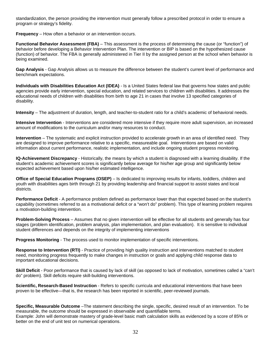standardization, the person providing the intervention must generally follow a prescribed protocol in order to ensure a program or strategy's fidelity.

**Frequency** – How often a behavior or an intervention occurs.

**Functional Behavior Assessment (FBA)** – This assessment is the process of determining the cause (or "function") of behavior before developing a Behavior Intervention Plan. The intervention or BIP is based on the hypothesized cause (function) of behavior. The FBA is generally administered in Tier II by the assigned person at the school when behavior is being examined.

**Gap Analysis** - Gap Analysis allows us to measure the difference between the student's current level of performance and benchmark expectations.

**Individuals with Disabilities Education Act (IDEA)** - Is a United States federal law that governs how states and public agencies provide early intervention, special education, and related services to children with disabilities. It addresses the educational needs of children with disabilities from birth to age 21 in cases that involve 13 specified categories of disability.

**Intensity** – The adjustment of duration, length, and teacher-to-student ratio for a child's academic of behavioral needs.

**Intensive Intervention** - Interventions are considered more intensive if they require more adult supervision, an increased amount of modifications to the curriculum and/or many resources to conduct.

**Intervention** – The systematic and explicit instruction provided to accelerate growth in an area of identified need. They are designed to improve performance relative to a specific, measureable goal. Interventions are based on valid information about current performance, realistic implementation, and include ongoing student progress monitoring.

**IQ-Achievement Discrepancy** - Historically, the means by which a student is diagnosed with a learning disability. If the student's academic achievement scores is significantly below average for his/her age group and significantly below expected achievement based upon his/her estimated intelligence.

**Office of Special Education Programs (OSEP)** – Is dedicated to improving results for infants, toddlers, children and youth with disabilities ages birth through 21 by providing leadership and financial support to assist states and local districts.

**Performance Deficit** - A performance problem defined as performance lower than that expected based on the student's capability (sometimes referred to as a motivational deficit or a "won't do" problem). This type of learning problem requires a motivation-building intervention.

**Problem-Solving Process** – Assumes that no given intervention will be effective for all students and generally has four stages (problem identification, problem analysis, plan implementation, and plan evaluation). It is sensitive to individual student differences and depends on the integrity of implementing interventions

**Progress Monitoring** - The process used to monitor implementation of specific interventions.

better on the end of unit test on numerical operations.

**Response to Intervention (RTI)** - Practice of providing high quality instruction and interventions matched to student need, monitoring progress frequently to make changes in instruction or goals and applying child response data to important educational decisions.

**Skill Deficit** - Poor performance that is caused by lack of skill (as opposed to lack of motivation, sometimes called a "can't do" problem). Skill deficits require skill-building interventions.

**Scientific, Research-Based Instruction** - Refers to specific curricula and educational interventions that have been proven to be effective—that is, the research has been reported in scientific, peer-reviewed journals.

**Specific, Measurable Outcome** –The statement describing the single, specific, desired result of an intervention. To be measurable, the outcome should be expressed in observable and quantifiable terms. Example: John will demonstrate mastery of grade-level basic math calculation skills as evidenced by a score of 85% or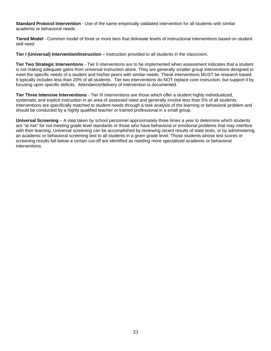**Standard Protocol Intervention** - Use of the same empirically validated intervention for all students with similar academic or behavioral needs.

**Tiered Model** - Common model of three or more tiers that delineate levels of instructional interventions based on student skill need

**Tier I (Universal) Intervention/Instruction –** Instruction provided to all students in the classroom.

**Tier Two Strategic Interventions** - Tier II interventions are to be implemented when assessment indicates that a student is not making adequate gains from universal instruction alone. They are generally smaller group interventions designed to meet the specific needs of a student and his/her peers with similar needs. These interventions MUST be research based. It typically includes less than 20% of all students. Tier two interventions do NOT replace core instruction, but support it by focusing upon specific deficits. Attendance/delivery of intervention is documented.

**Tier Three Intensive Interventions** - Tier III Interventions are those which offer a student highly individualized, systematic and explicit instruction in an area of assessed need and generally involve less than 5% of all students. Interventions are specifically matched to student needs through a task analysis of the learning or behavioral problem and should be conducted by a highly qualified teacher or trained professional in a small group.

**Universal Screening** – A step taken by school personnel approximately three times a year to determine which students are "at risk" for not meeting grade level standards or those who have behavioral or emotional problems that may interfere with their learning. Universal screening can be accomplished by reviewing recent results of state tests, or by administering an academic or behavioral screening test to all students in a given grade level. Those students whose test scores or screening results fall below a certain cut-off are identified as needing more specialized academic or behavioral interventions.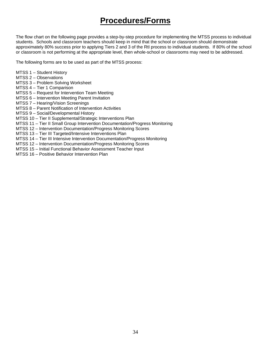# **Procedures/Forms**

The flow chart on the following page provides a step-by-step procedure for implementing the MTSS process to individual students. Schools and classroom teachers should keep in mind that the school or classroom should demonstrate approximately 80% success prior to applying Tiers 2 and 3 of the RtI process to individual students. If 80% of the school or classroom is not performing at the appropriate level, then whole-school or classrooms may need to be addressed.

The following forms are to be used as part of the MTSS process:

- MTSS 1 Student History
- MTSS 2 Observations
- MTSS 3 Problem Solving Worksheet
- MTSS 4 Tier 1 Comparison
- MTSS 5 Request for Intervention Team Meeting
- MTSS 6 Intervention Meeting Parent Invitation
- MTSS 7 Hearing/Vision Screenings
- MTSS 8 Parent Notification of Intervention Activities
- MTSS 9 Social/Developmental History
- MTSS 10 Tier II Supplemental/Strategic Interventions Plan
- MTSS 11 Tier II Small Group Intervention Documentation/Progress Monitoring
- MTSS 12 Intervention Documentation/Progress Monitoring Scores
- MTSS 13 Tier III Targeted/Intensive Interventions Plan
- MTSS 14 Tier III Intensive Intervention Documentation/Progress Monitoring
- MTSS 12 Intervention Documentation/Progress Monitoring Scores
- MTSS 15 Initial Functional Behavior Assessment Teacher Input
- MTSS 16 Positive Behavior Intervention Plan